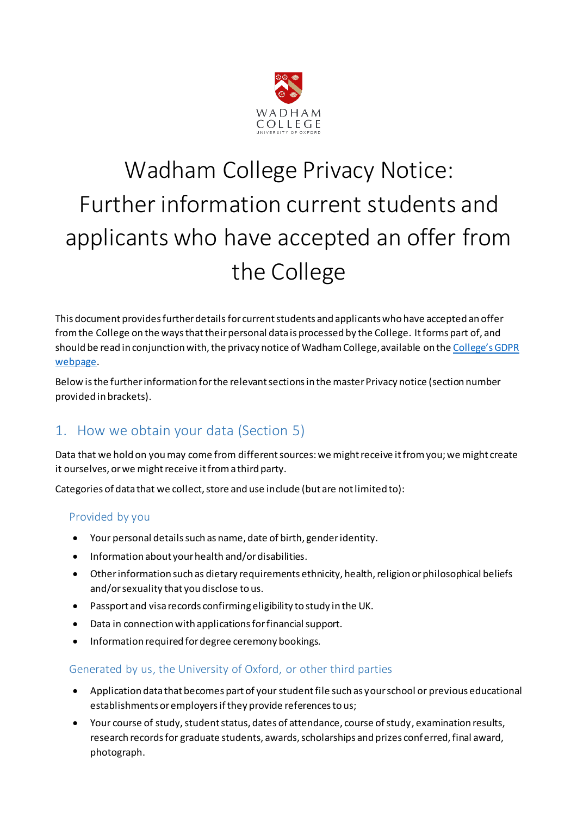

# Wadham College Privacy Notice: Further information current students and applicants who have accepted an offer from the College

This document provides further details for current students and applicants who have accepted an offer from the College on the ways that their personal data is processed by the College. It forms part of, and should be read in conjunction with, the privacy notice of Wadham College, available on the [College's GDPR](https://www.wadham.ox.ac.uk/governance/wadham-college-gdpr-framework)  [webpage.](https://www.wadham.ox.ac.uk/governance/wadham-college-gdpr-framework)

Below is the further information for the relevant sections in the master Privacy notice (section number provided in brackets).

## 1. How we obtain your data (Section 5)

Data that we hold on you may come from different sources: we might receive it from you; we might create it ourselves, or we might receive it from a third party.

Categories of data that we collect, store and use include (but are not limited to):

#### Provided by you

- Your personal details such as name, date of birth, gender identity.
- Information about your health and/or disabilities.
- Other information such as dietary requirements ethnicity, health, religion or philosophical beliefs and/or sexuality that you disclose to us.
- Passport and visa records confirming eligibility to study in the UK.
- Data in connection with applications for financial support.
- Information required for degree ceremony bookings.

#### Generated by us, the University of Oxford, or other third parties

- Application data that becomes part of your student file such as your school or previous educational establishments or employers if they provide references to us;
- Your course of study, student status, dates of attendance, course of study, examination results, research records for graduate students, awards, scholarships and prizes conferred, final award, photograph.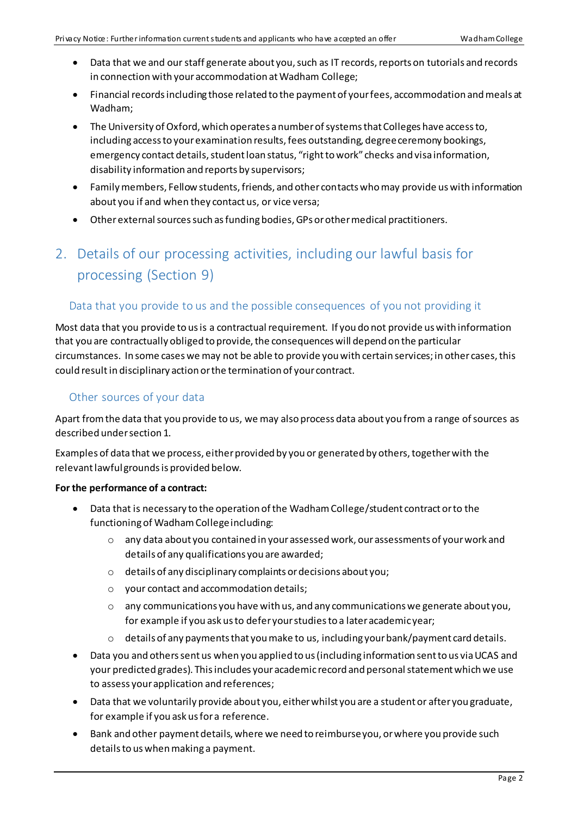- Data that we and our staff generate about you, such as IT records, reports on tutorials and records in connection with your accommodation at Wadham College;
- Financial records including those related to the payment of your fees, accommodation and meals at Wadham;
- The University of Oxford, which operates a number of systems that Colleges have access to, including access to your examination results, fees outstanding, degree ceremony bookings, emergency contact details, student loan status, "right to work" checks and visa information, disability information and reports by supervisors;
- Family members, Fellow students, friends, and other contacts who may provide us with information about you if and when they contact us, or vice versa;
- Other external sources such as funding bodies, GPs or other medical practitioners.

# 2. Details of our processing activities, including our lawful basis for processing (Section 9)

#### Data that you provide to us and the possible consequences of you not providing it

Most data that you provide to us is a contractual requirement. If you do not provide us with information that you are contractually obliged to provide, the consequences will depend on the particular circumstances. In some cases we may not be able to provide you with certain services; in other cases, this could resultin disciplinary action or the termination of your contract.

#### Other sources of your data

Apart from the data that you provide to us, we may also process data about you from a range of sources as described under section 1.

Examples of data that we process, either provided by you or generated by others, together with the relevant lawful grounds is provided below.

#### **For the performance of a contract:**

- Data that is necessary to the operation of the Wadham College/student contract or to the functioning of Wadham Collegeincluding:
	- o any data about you contained in your assessed work, our assessments of your work and details of any qualifications you are awarded;
	- o details of any disciplinary complaints or decisions about you;
	- o your contact and accommodation details;
	- $\circ$  any communications you have with us, and any communications we generate about you, for example if you ask us to defer your studies to a later academic year;
	- $\circ$  details of any payments that you make to us, including your bank/payment card details.
- Data you and others sent us when you applied to us (including information sent to us via UCAS and your predicted grades). This includes your academic record and personal statement which we use to assess your application and references;
- Data that we voluntarily provide about you, either whilst you are a student or after you graduate, for example if you ask us for a reference.
- Bank and other payment details, where we need to reimburse you, or where you provide such details to us when making a payment.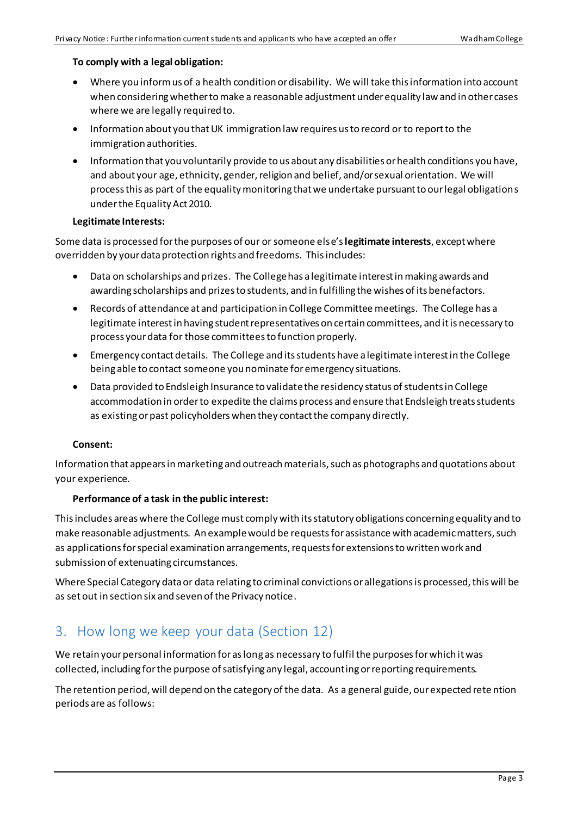#### **To comply with a legal obligation:**

- Where you inform us of a health condition or disability. We will take this information into account when considering whether to make a reasonable adjustment under equality law and in other cases where we are legally required to.
- Information about you that UK immigration law requires us to record or to report to the immigration authorities.
- Information that you voluntarily provide to us about any disabilities or health conditions you have, and about your age, ethnicity, gender, religion and belief, and/or sexual orientation. We will process this as part of the equality monitoring that we undertake pursuant to our legal obligations under the Equality Act 2010.

#### **Legitimate Interests:**

Some data is processed for the purposes of our or someone else's **legitimate interests**, except where overridden by your data protection rights and freedoms. This includes:

- Data on scholarships and prizes. The College has a legitimate interest in making awards and awarding scholarships and prizes to students, and in fulfilling the wishes of its benefactors.
- Records of attendance at and participation in College Committee meetings. The College has a legitimate interest in having student representatives on certain committees, and it is necessary to process your data for those committees to function properly.
- Emergency contact details. The College and its students have a legitimate interest in the College being able to contact someone you nominate for emergency situations.
- Data provided to Endsleigh Insurance to validate the residency status of students in College accommodation in order to expedite the claims process and ensure that Endsleigh treats students as existing or past policyholders when they contact the company directly.

#### **Consent:**

Information that appears in marketing and outreach materials, such as photographs and quotations about your experience.

#### **Performance of a task in the public interest:**

This includes areas where the College must comply with its statutory obligations concerning equality and to make reasonable adjustments. An example would be requests for assistance with academic matters, such as applications for special examination arrangements, requests for extensions to written work and submission of extenuating circumstances.

Where Special Category data or data relating to criminal convictions or allegations is processed, this will be as set out in section six and seven of the Privacy notice.

### 3. How long we keep your data (Section 12)

We retain your personal information for as long as necessary to fulfil the purposes for which it was collected, including for the purpose of satisfying any legal, accounting or reporting requirements.

The retention period, will depend on the category of the data. As a general guide, our expected rete ntion periods are as follows: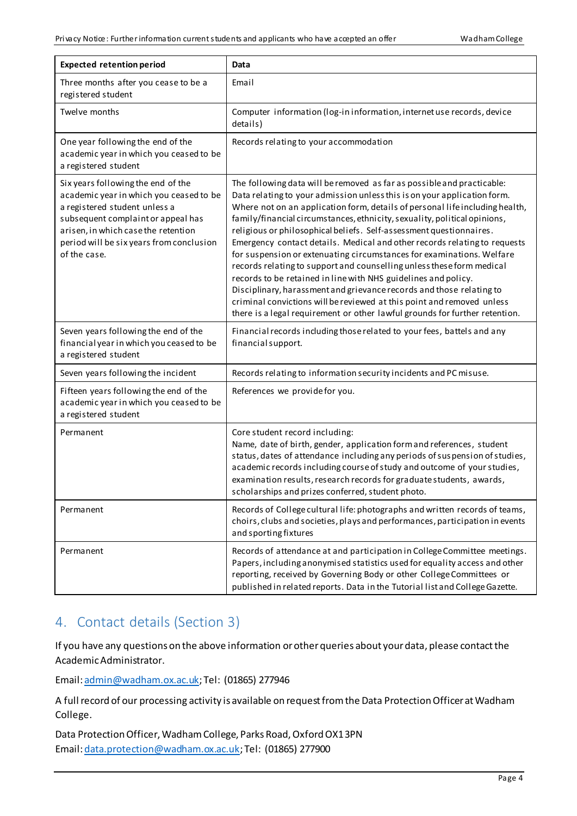| <b>Expected retention period</b>                                                                                                                                                                                                                        | Data                                                                                                                                                                                                                                                                                                                                                                                                                                                                                                                                                                                                                                                                                                                                                                                                                                                                                                                     |
|---------------------------------------------------------------------------------------------------------------------------------------------------------------------------------------------------------------------------------------------------------|--------------------------------------------------------------------------------------------------------------------------------------------------------------------------------------------------------------------------------------------------------------------------------------------------------------------------------------------------------------------------------------------------------------------------------------------------------------------------------------------------------------------------------------------------------------------------------------------------------------------------------------------------------------------------------------------------------------------------------------------------------------------------------------------------------------------------------------------------------------------------------------------------------------------------|
| Three months after you cease to be a<br>registered student                                                                                                                                                                                              | Email                                                                                                                                                                                                                                                                                                                                                                                                                                                                                                                                                                                                                                                                                                                                                                                                                                                                                                                    |
| Twelve months                                                                                                                                                                                                                                           | Computer information (log-in information, internet use records, device<br>details)                                                                                                                                                                                                                                                                                                                                                                                                                                                                                                                                                                                                                                                                                                                                                                                                                                       |
| One year following the end of the<br>academic year in which you ceased to be<br>a registered student                                                                                                                                                    | Records relating to your accommodation                                                                                                                                                                                                                                                                                                                                                                                                                                                                                                                                                                                                                                                                                                                                                                                                                                                                                   |
| Six years following the end of the<br>academic year in which you ceased to be<br>a registered student unless a<br>subsequent complaint or appeal has<br>arisen, in which case the retention<br>period will be six years from conclusion<br>of the case. | The following data will be removed as far as possible and practicable:<br>Data relating to your admission unless this is on your application form.<br>Where not on an application form, details of personal life including health,<br>family/financial circumstances, ethnicity, sexuality, political opinions,<br>religious or philosophical beliefs. Self-assessment questionnaires.<br>Emergency contact details. Medical and other records relating to requests<br>for suspension or extenuating circumstances for examinations. Welfare<br>records relating to support and counselling unless these form medical<br>records to be retained in line with NHS guidelines and policy.<br>Disciplinary, harassment and grievance records and those relating to<br>criminal convictions will be reviewed at this point and removed unless<br>there is a legal requirement or other lawful grounds for further retention. |
| Seven years following the end of the<br>financial year in which you ceased to be<br>a registered student                                                                                                                                                | Financial records including those related to your fees, battels and any<br>financial support.                                                                                                                                                                                                                                                                                                                                                                                                                                                                                                                                                                                                                                                                                                                                                                                                                            |
| Seven years following the incident                                                                                                                                                                                                                      | Records relating to information security incidents and PC misuse.                                                                                                                                                                                                                                                                                                                                                                                                                                                                                                                                                                                                                                                                                                                                                                                                                                                        |
| Fifteen years following the end of the<br>academic year in which you ceased to be<br>a registered student                                                                                                                                               | References we provide for you.                                                                                                                                                                                                                                                                                                                                                                                                                                                                                                                                                                                                                                                                                                                                                                                                                                                                                           |
| Permanent                                                                                                                                                                                                                                               | Core student record including:<br>Name, date of birth, gender, application form and references, student<br>status, dates of attendance including any periods of suspension of studies,<br>academic records including course of study and outcome of your studies,<br>examination results, research records for graduate students, awards,<br>scholarships and prizes conferred, student photo.                                                                                                                                                                                                                                                                                                                                                                                                                                                                                                                           |
| Permanent                                                                                                                                                                                                                                               | Records of College cultural life: photographs and written records of teams,<br>choirs, clubs and societies, plays and performances, participation in events<br>and sporting fixtures                                                                                                                                                                                                                                                                                                                                                                                                                                                                                                                                                                                                                                                                                                                                     |
| Permanent                                                                                                                                                                                                                                               | Records of attendance at and participation in College Committee meetings.<br>Papers, including anonymised statistics used for equality access and other<br>reporting, received by Governing Body or other College Committees or<br>published in related reports. Data in the Tutorial list and College Gazette.                                                                                                                                                                                                                                                                                                                                                                                                                                                                                                                                                                                                          |

## 4. Contact details (Section 3)

If you have any questions on the above information or other queries about your data, please contact the Academic Administrator.

Email[: admin@wadham.ox.ac.uk](mailto:admin@wadham.ox.ac.uk); Tel: (01865) 277946

A full record of our processing activity is available on request from the Data Protection Officer at Wadham College.

Data Protection Officer, Wadham College, Parks Road, Oxford OX1 3PN Email[: data.protection@wadham.ox.ac.uk](mailto:data.protection@wadham.ox.ac.uk); Tel: (01865) 277900